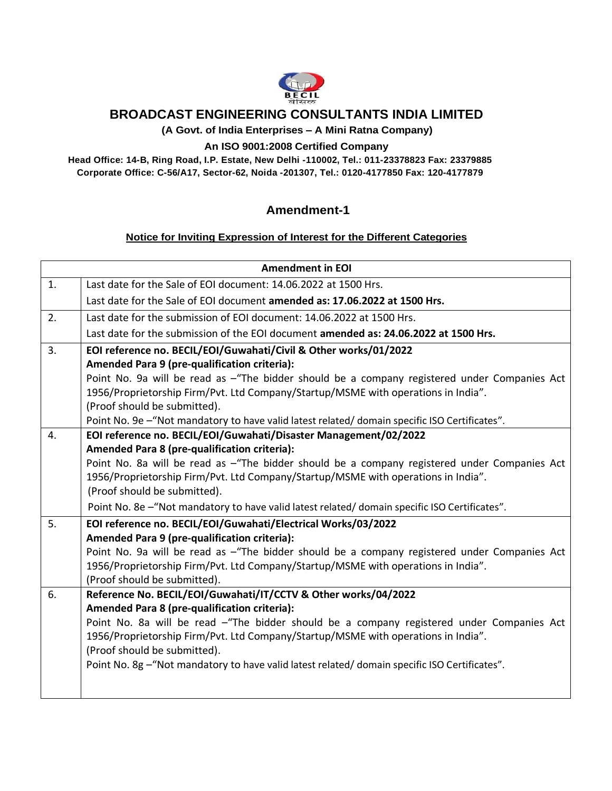

## **BROADCAST ENGINEERING CONSULTANTS INDIA LIMITED**

**(A Govt. of India Enterprises – A Mini Ratna Company)**

## **An ISO 9001:2008 Certified Company**

**Head Office: 14-B, Ring Road, I.P. Estate, New Delhi -110002, Tel.: 011-23378823 Fax: 23379885 Corporate Office: C-56/A17, Sector-62, Noida -201307, Tel.: 0120-4177850 Fax: 120-4177879**

## **Amendment-1**

## **Notice for Inviting Expression of Interest for the Different Categories**

| <b>Amendment in EOI</b> |                                                                                                |  |  |  |  |  |  |
|-------------------------|------------------------------------------------------------------------------------------------|--|--|--|--|--|--|
| 1.                      | Last date for the Sale of EOI document: 14.06.2022 at 1500 Hrs.                                |  |  |  |  |  |  |
|                         | Last date for the Sale of EOI document amended as: 17.06.2022 at 1500 Hrs.                     |  |  |  |  |  |  |
| 2.                      | Last date for the submission of EOI document: 14.06.2022 at 1500 Hrs.                          |  |  |  |  |  |  |
|                         | Last date for the submission of the EOI document amended as: 24.06.2022 at 1500 Hrs.           |  |  |  |  |  |  |
| 3.                      | EOI reference no. BECIL/EOI/Guwahati/Civil & Other works/01/2022                               |  |  |  |  |  |  |
|                         | Amended Para 9 (pre-qualification criteria):                                                   |  |  |  |  |  |  |
|                         | Point No. 9a will be read as -"The bidder should be a company registered under Companies Act   |  |  |  |  |  |  |
|                         | 1956/Proprietorship Firm/Pvt. Ltd Company/Startup/MSME with operations in India".              |  |  |  |  |  |  |
|                         | (Proof should be submitted).                                                                   |  |  |  |  |  |  |
|                         | Point No. 9e - "Not mandatory to have valid latest related/ domain specific ISO Certificates". |  |  |  |  |  |  |
| 4.                      | EOI reference no. BECIL/EOI/Guwahati/Disaster Management/02/2022                               |  |  |  |  |  |  |
|                         | Amended Para 8 (pre-qualification criteria):                                                   |  |  |  |  |  |  |
|                         | Point No. 8a will be read as -"The bidder should be a company registered under Companies Act   |  |  |  |  |  |  |
|                         | 1956/Proprietorship Firm/Pvt. Ltd Company/Startup/MSME with operations in India".              |  |  |  |  |  |  |
|                         | (Proof should be submitted).                                                                   |  |  |  |  |  |  |
|                         | Point No. 8e - "Not mandatory to have valid latest related/ domain specific ISO Certificates". |  |  |  |  |  |  |
| 5.                      | EOI reference no. BECIL/EOI/Guwahati/Electrical Works/03/2022                                  |  |  |  |  |  |  |
|                         | Amended Para 9 (pre-qualification criteria):                                                   |  |  |  |  |  |  |
|                         | Point No. 9a will be read as -"The bidder should be a company registered under Companies Act   |  |  |  |  |  |  |
|                         | 1956/Proprietorship Firm/Pvt. Ltd Company/Startup/MSME with operations in India".              |  |  |  |  |  |  |
|                         | (Proof should be submitted).                                                                   |  |  |  |  |  |  |
| 6.                      | Reference No. BECIL/EOI/Guwahati/IT/CCTV & Other works/04/2022                                 |  |  |  |  |  |  |
|                         | Amended Para 8 (pre-qualification criteria):                                                   |  |  |  |  |  |  |
|                         | Point No. 8a will be read -"The bidder should be a company registered under Companies Act      |  |  |  |  |  |  |
|                         | 1956/Proprietorship Firm/Pvt. Ltd Company/Startup/MSME with operations in India".              |  |  |  |  |  |  |
|                         | (Proof should be submitted).                                                                   |  |  |  |  |  |  |
|                         | Point No. 8g - "Not mandatory to have valid latest related/ domain specific ISO Certificates". |  |  |  |  |  |  |
|                         |                                                                                                |  |  |  |  |  |  |
|                         |                                                                                                |  |  |  |  |  |  |